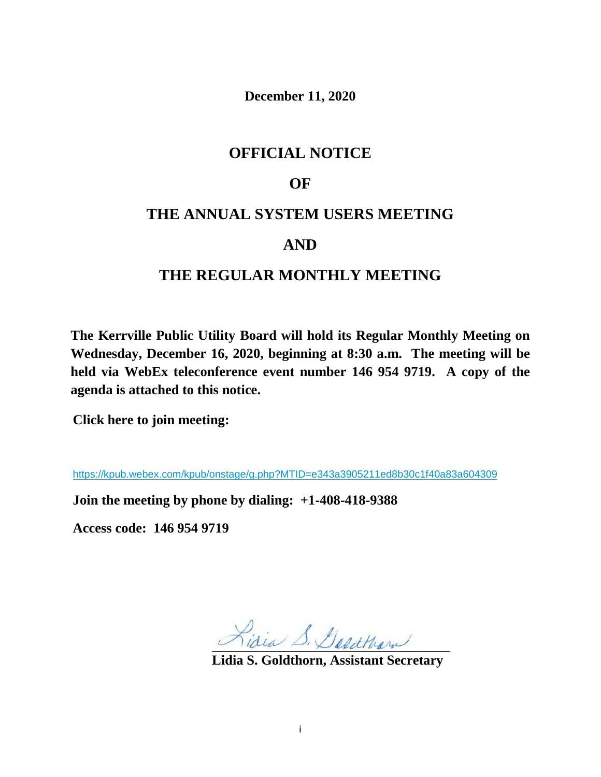**December 11, 2020**

# **OFFICIAL NOTICE**

# **OF**

# **THE ANNUAL SYSTEM USERS MEETING**

# **AND**

# **THE REGULAR MONTHLY MEETING**

**The Kerrville Public Utility Board will hold its Regular Monthly Meeting on Wednesday, December 16, 2020, beginning at 8:30 a.m. The meeting will be held via WebEx teleconference event number 146 954 9719. A copy of the agenda is attached to this notice.**

**Click here to join meeting:** 

<https://kpub.webex.com/kpub/onstage/g.php?MTID=e343a3905211ed8b30c1f40a83a604309>

**Join the meeting by phone by dialing: +1-408-418-9388**

**Access code: 146 954 9719** 

Lisia S. Desathan

**Lidia S. Goldthorn, Assistant Secretary**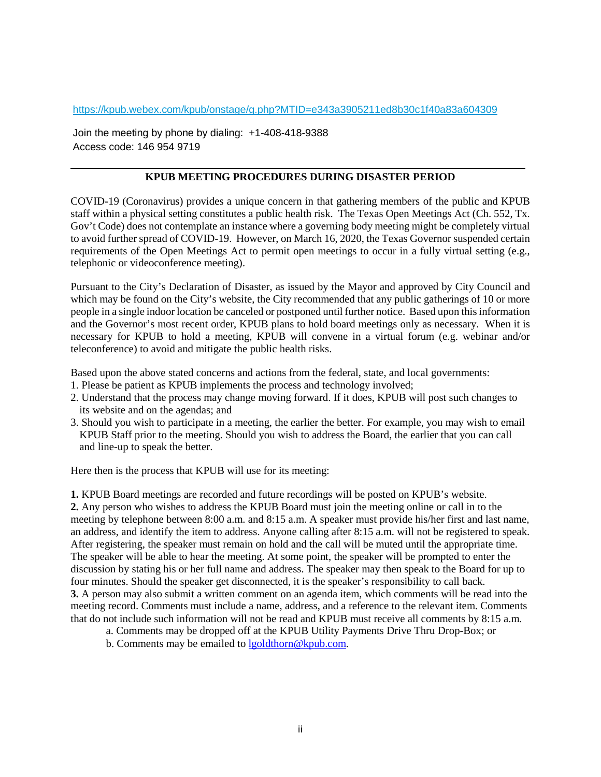<https://kpub.webex.com/kpub/onstage/g.php?MTID=e343a3905211ed8b30c1f40a83a604309>

Join the meeting by phone by dialing: +1-408-418-9388 Access code: 146 954 9719

#### **KPUB MEETING PROCEDURES DURING DISASTER PERIOD**

COVID-19 (Coronavirus) provides a unique concern in that gathering members of the public and KPUB staff within a physical setting constitutes a public health risk. The Texas Open Meetings Act (Ch. 552, Tx. Gov't Code) does not contemplate an instance where a governing body meeting might be completely virtual to avoid further spread of COVID-19. However, on March 16, 2020, the Texas Governor suspended certain requirements of the Open Meetings Act to permit open meetings to occur in a fully virtual setting (e.g., telephonic or videoconference meeting).

Pursuant to the City's Declaration of Disaster, as issued by the Mayor and approved by City Council and which may be found on the City's website, the City recommended that any public gatherings of 10 or more people in a single indoor location be canceled or postponed until further notice. Based upon this information and the Governor's most recent order, KPUB plans to hold board meetings only as necessary. When it is necessary for KPUB to hold a meeting, KPUB will convene in a virtual forum (e.g. webinar and/or teleconference) to avoid and mitigate the public health risks.

Based upon the above stated concerns and actions from the federal, state, and local governments:

- 1. Please be patient as KPUB implements the process and technology involved;
- 2. Understand that the process may change moving forward. If it does, KPUB will post such changes to its website and on the agendas; and
- 3. Should you wish to participate in a meeting, the earlier the better. For example, you may wish to email KPUB Staff prior to the meeting. Should you wish to address the Board, the earlier that you can call and line-up to speak the better.

Here then is the process that KPUB will use for its meeting:

**1.** KPUB Board meetings are recorded and future recordings will be posted on KPUB's website.

**2.** Any person who wishes to address the KPUB Board must join the meeting online or call in to the meeting by telephone between 8:00 a.m. and 8:15 a.m. A speaker must provide his/her first and last name, an address, and identify the item to address. Anyone calling after 8:15 a.m. will not be registered to speak. After registering, the speaker must remain on hold and the call will be muted until the appropriate time. The speaker will be able to hear the meeting. At some point, the speaker will be prompted to enter the discussion by stating his or her full name and address. The speaker may then speak to the Board for up to four minutes. Should the speaker get disconnected, it is the speaker's responsibility to call back. **3.** A person may also submit a written comment on an agenda item, which comments will be read into the meeting record. Comments must include a name, address, and a reference to the relevant item. Comments that do not include such information will not be read and KPUB must receive all comments by 8:15 a.m.

- a. Comments may be dropped off at the KPUB Utility Payments Drive Thru Drop-Box; or
- b. Comments may be emailed to [lgoldthorn@kpub.com.](mailto:lgoldthorn@kpub.com)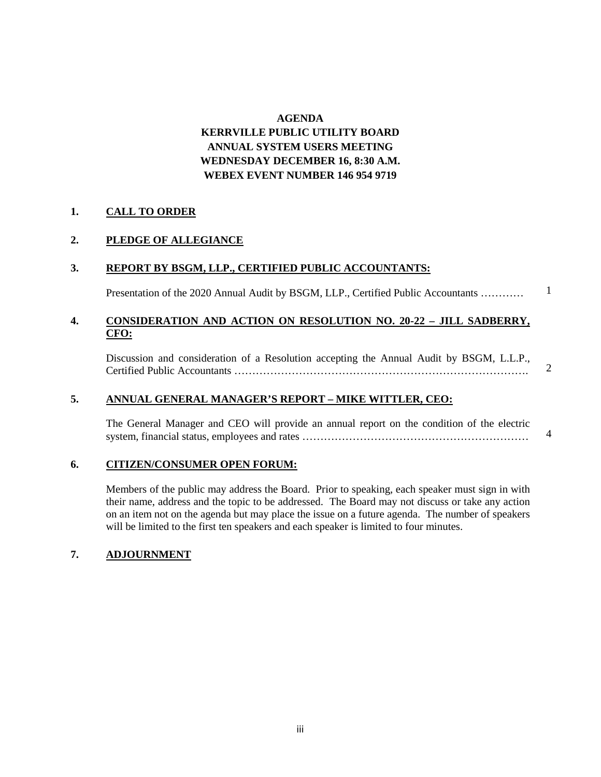#### **AGENDA**

# **KERRVILLE PUBLIC UTILITY BOARD ANNUAL SYSTEM USERS MEETING WEDNESDAY DECEMBER 16, 8:30 A.M. WEBEX EVENT NUMBER 146 954 9719**

#### **1. CALL TO ORDER**

# **2. PLEDGE OF ALLEGIANCE**

### **3. REPORT BY BSGM, LLP., CERTIFIED PUBLIC ACCOUNTANTS:**

Presentation of the 2020 Annual Audit by BSGM, LLP., Certified Public Accountants ………… 1

### **4. CONSIDERATION AND ACTION ON RESOLUTION NO. 20-22 – JILL SADBERRY, CFO:**

Discussion and consideration of a Resolution accepting the Annual Audit by BSGM, L.L.P., Certified Public Accountants ……………………………………………………………………….

2

4

#### **5. ANNUAL GENERAL MANAGER'S REPORT – MIKE WITTLER, CEO:**

The General Manager and CEO will provide an annual report on the condition of the electric system, financial status, employees and rates ………………………………………………………

#### **6. CITIZEN/CONSUMER OPEN FORUM:**

Members of the public may address the Board. Prior to speaking, each speaker must sign in with their name, address and the topic to be addressed. The Board may not discuss or take any action on an item not on the agenda but may place the issue on a future agenda. The number of speakers will be limited to the first ten speakers and each speaker is limited to four minutes.

#### **7. ADJOURNMENT**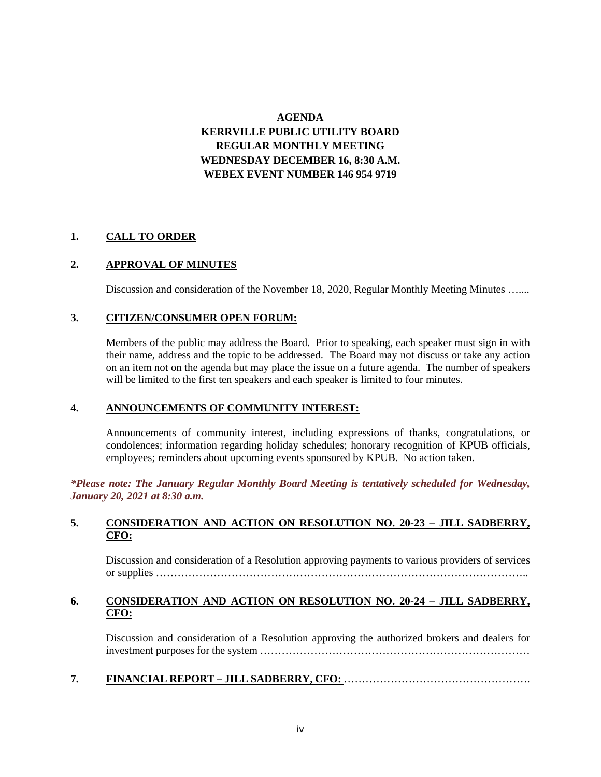# **AGENDA KERRVILLE PUBLIC UTILITY BOARD REGULAR MONTHLY MEETING WEDNESDAY DECEMBER 16, 8:30 A.M. WEBEX EVENT NUMBER 146 954 9719**

### **1. CALL TO ORDER**

#### **2. APPROVAL OF MINUTES**

Discussion and consideration of the November 18, 2020, Regular Monthly Meeting Minutes …....

### **3. CITIZEN/CONSUMER OPEN FORUM:**

Members of the public may address the Board. Prior to speaking, each speaker must sign in with their name, address and the topic to be addressed. The Board may not discuss or take any action on an item not on the agenda but may place the issue on a future agenda. The number of speakers will be limited to the first ten speakers and each speaker is limited to four minutes.

# **4. ANNOUNCEMENTS OF COMMUNITY INTEREST:**

Announcements of community interest, including expressions of thanks, congratulations, or condolences; information regarding holiday schedules; honorary recognition of KPUB officials, employees; reminders about upcoming events sponsored by KPUB. No action taken.

*\*Please note: The January Regular Monthly Board Meeting is tentatively scheduled for Wednesday, January 20, 2021 at 8:30 a.m.*

#### **5. CONSIDERATION AND ACTION ON RESOLUTION NO. 20-23 – JILL SADBERRY, CFO:**

Discussion and consideration of a Resolution approving payments to various providers of services or supplies …………………………………………………………………………………………..

#### **6. CONSIDERATION AND ACTION ON RESOLUTION NO. 20-24 – JILL SADBERRY, CFO:**

Discussion and consideration of a Resolution approving the authorized brokers and dealers for investment purposes for the system …………………………………………………………………

**7. FINANCIAL REPORT – JILL SADBERRY, CFO:** …………………………………………….